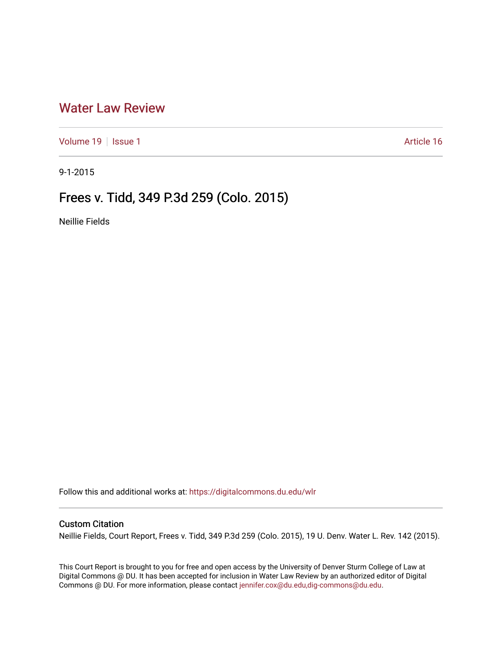# [Water Law Review](https://digitalcommons.du.edu/wlr)

[Volume 19](https://digitalcommons.du.edu/wlr/vol19) | [Issue 1](https://digitalcommons.du.edu/wlr/vol19/iss1) Article 16

9-1-2015

# Frees v. Tidd, 349 P.3d 259 (Colo. 2015)

Neillie Fields

Follow this and additional works at: [https://digitalcommons.du.edu/wlr](https://digitalcommons.du.edu/wlr?utm_source=digitalcommons.du.edu%2Fwlr%2Fvol19%2Fiss1%2F16&utm_medium=PDF&utm_campaign=PDFCoverPages) 

# Custom Citation

Neillie Fields, Court Report, Frees v. Tidd, 349 P.3d 259 (Colo. 2015), 19 U. Denv. Water L. Rev. 142 (2015).

This Court Report is brought to you for free and open access by the University of Denver Sturm College of Law at Digital Commons @ DU. It has been accepted for inclusion in Water Law Review by an authorized editor of Digital Commons @ DU. For more information, please contact [jennifer.cox@du.edu,dig-commons@du.edu.](mailto:jennifer.cox@du.edu,dig-commons@du.edu)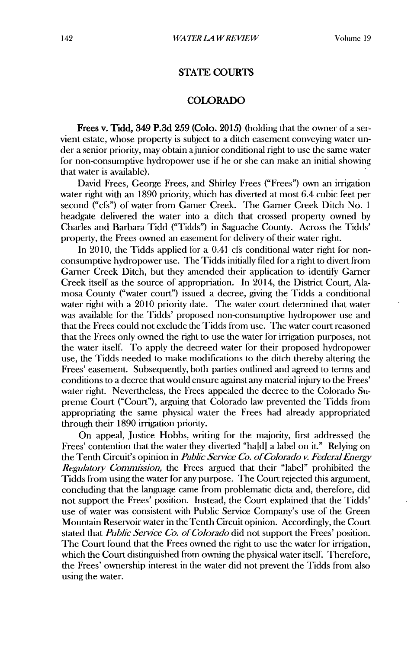## **STATE COURTS**

### **COLORADO**

Frees v. Tidd, 349 **P.3d 259** (Colo. **2015)** (holding that the owner of a servient estate, whose property is subject to a ditch easement conveying water under a senior priority, may obtain ajunior conditional right to use the same water for non-consumptive hydropower use **if** he or she can make an initial showing that water is available).

David Frees, George Frees, and Shirley Frees ("Frees") own an irrigation water right with an **1890** priority, which has diverted at most 6.4 cubic feet per second ("cfs") of water from Garner Creek. The Garner Creek Ditch **No. 1** headgate delivered the water into a ditch that crossed property owned **by** Charles and Barbara **Tidd** ("Tidds") in Saguache County. Across the Tidds' property, the Frees owned an easement for delivery of their water right.

In 2010, the Tidds applied for a 0.41 cfs conditional water right for nonconsumptive hydropower use. The Tidds initially filed for a right to divert from Garner Creek Ditch, but they amended their application to identify Garner Creek itself as the source of appropriation. In 2014, the District Court, Alamosa County ("water court") issued a decree, giving the Tidds a conditional water right with a 2010 priority date. The water court determined that water was available for the Tidds' proposed non-consumptive hydropower use and that the Frees could not exclude the Tidds from use. The water court reasoned that the Frees only owned the right to use the water for irrigation purposes, not the water itself. To apply the decreed water for their proposed hydropower use, the Tidds needed to make modifications to the ditch thereby altering the Frees' easement. Subsequently, both parties outlined and agreed to terms and conditions to a decree that would ensure against any material injury to the Frees' water right. Nevertheless, the Frees appealed the decree to the Colorado Supreme Court ("Court"), arguing that Colorado law prevented the Tidds from appropriating the same physical water the Frees had already appropriated through their **1890** irrigation priority.

On appeal, Justice Hobbs, writing for the majority, first addressed the Frees' contention that the water they diverted "hald] a label on it." Relying on the Tenth Circuit's opinion in *Public Service Co. of Colorado v. Federal Energy Regulatory Commission,* the Frees argued that their "label" prohibited the Tidds from **using** the water for any purpose. The Court rejected this argument, concluding that the language came from problematic dicta and, therefore, **did** not support the Frees' position. Instead, the Court explained that the Tidds' use of water was consistent with Public Service Company's use of the Green Mountain Reservoir water in the Tenth Circuit opinion. Accordingly, the Court stated that *Public Service Co. of Colorado* **did** not support the Frees' position. The Court found that the Frees owned the right to use the water for irrigation, which **the** Court distinguished from owning the physical water itself. Therefore, the Frees' ownership interest in the water **did** not prevent the Tidds from also using the water.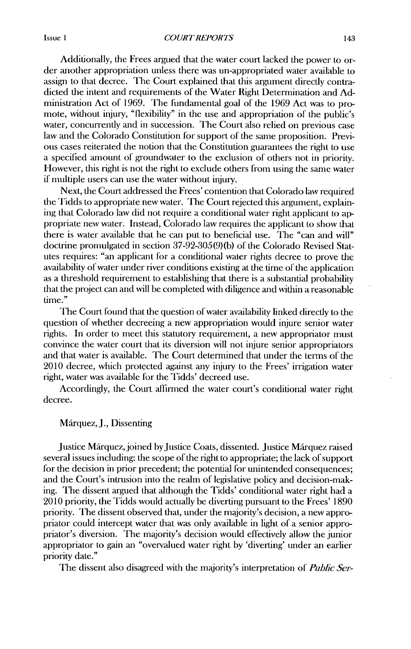Additionally, the Frees argued that the water court lacked the power to order another appropriation unless there was un-appropriated water available to assign to that decree. The Court explained that this argument directly contradicted the intent and requirements of the Water Right Determination and Administration Act of 1969. The fundamental goal of the 1969 Act was to promote, without injury, "flexibility" in the use and appropriation of the public's water, concurrently and in succession. The Court also relied on previous case law and the Colorado Constitution for support of the same proposition. Previous cases reiterated the notion that the Constitution guarantees the right to use a specified amount of groundwater to the exclusion of others not in priority. However, this right is not the right to exclude others from using the same water if multiple users can use the water without injury.

Next, the Court addressed the Frees' contention that Colorado law required the Tidds to appropriate new water. The Court rejected this argument, explaining that Colorado law did not require a conditional water right applicant to appropriate new water. Instead, Colorado law requires the applicant to show that there is water available that he can put to beneficial use. The "can and will" doctrine promulgated in section 37-92-305(9)(b) of the Colorado Revised Statutes requires: "an applicant for a conditional water rights decree to prove the availability of water under river conditions existing at the time of the application as a threshold requirement to establishing that there is a substantial probability that the project can and will be completed with diligence and within a reasonable time."

The Court found that the question of water availability linked directly to the question of whether decreeing a new appropriation would injure senior water rights. In order to meet this statutory requirement, a new appropriator must convince the water court that its diversion will not injure senior appropriators and that water is available. The Court determined that under the terms of the 2010 decree, which protected against any injury to the Frees' irrigation water right, water was available for the Tidds' decreed use.

Accordingly, the Court alirmed the water court's conditional water right decree.

### Márquez, J., Dissenting

Justice Márquez, joined by Justice Coats, dissented. Justice Márquez raised several issues including: the scope of the right to appropriate; the lack of support for the decision in prior precedent; the potential for unintended consequences; and the Court's intrusion into the realm of legislative policy and decision-making. The dissent argued that although the Tidds' conditional water right had a 2010 priority, the Tidds would actually be diverting pursuant to the Frees' 1890 priority. The dissent observed that, under the majority's decision, a new appropriator could intercept water that was only available in light of a senior appropriator's diversion. The majority's decision would effectively allow the junior appropriator to gain an "overvalued water right by 'diverting' under an earlier priority date."

The dissent also disagreed with the majority's interpretation of *Public Ser-*